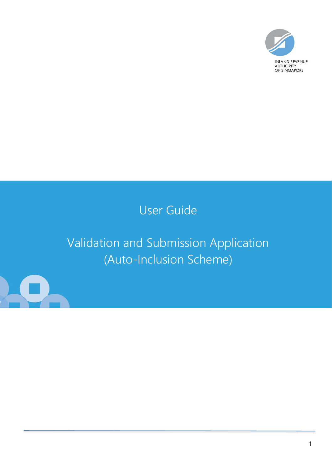

## User Guide

# Validation and Submission Application (Auto-Inclusion Scheme)

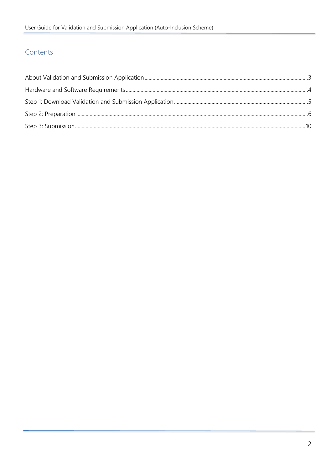### Contents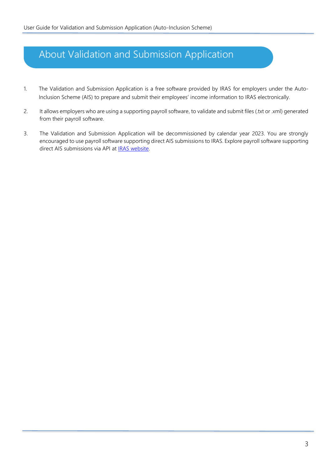### <span id="page-2-0"></span>About Validation and Submission Application

- 1. The Validation and Submission Application is a free software provided by IRAS for employers under the Auto-Inclusion Scheme (AIS) to prepare and submit their employees' income information to IRAS electronically.
- 2. It allows employers who are using a supporting payroll software, to validate and submit files (.txt or .xml) generated from their payroll software.
- 3. The Validation and Submission Application will be decommissioned by calendar year 2023. You are strongly encouraged to use payroll software supporting direct AIS submissions to IRAS. Explore payroll software supporting direct AIS submissions via API at **IRAS website**.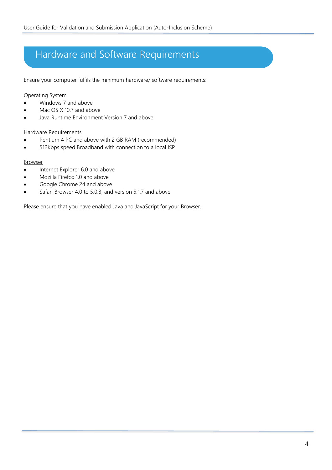## <span id="page-3-0"></span>Hardware and Software Requirements

Ensure your computer fulfils the minimum hardware/ software requirements:

### Operating System

- Windows 7 and above
- Mac OS X 10.7 and above
- Java Runtime Environment Version 7 and above

### Hardware Requirements

- Pentium 4 PC and above with 2 GB RAM (recommended)
- 512Kbps speed Broadband with connection to a local ISP

### **Browser**

- Internet Explorer 6.0 and above
- Mozilla Firefox 1.0 and above
- Google Chrome 24 and above
- Safari Browser 4.0 to 5.0.3, and version 5.1.7 and above

Please ensure that you have enabled Java and JavaScript for your Browser.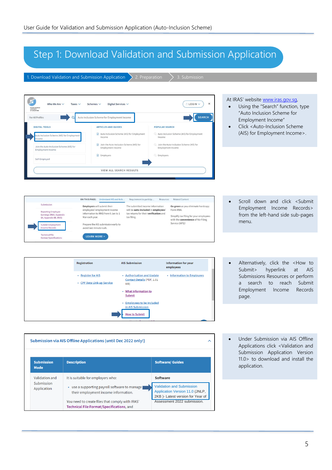### <span id="page-4-0"></span>Step 1: Download Validation and Submission Application

1. Download Validation and Submission Application  $\sum 2$ . Preparation  $\sum 3$ . Submission



|                           | Submission via AIS Offline Applications (until Dec 2022 only!)                               |                                                                                                         |  |  |  |  |  |  |
|---------------------------|----------------------------------------------------------------------------------------------|---------------------------------------------------------------------------------------------------------|--|--|--|--|--|--|
| <b>Submission</b><br>Mode | <b>Description</b>                                                                           | <b>Software/ Guides</b>                                                                                 |  |  |  |  |  |  |
| Validation and            | It is suitable for employers who:                                                            | Software                                                                                                |  |  |  |  |  |  |
| Submission<br>Application | use a supporting payroll software to manage<br>۰<br>their employment income information.     | <b>Validation and Submission</b><br>Application Version 11.0 (JNLP,<br>2KB)- Latest version for Year of |  |  |  |  |  |  |
|                           | You need to create files that comply with IRAS'<br>Technical File Format/Specifications, and | Assessment 2022 submission.                                                                             |  |  |  |  |  |  |

Under Submission via AIS Offline Applications click <Validation and Submission Application Version 11.0> to download and install the application.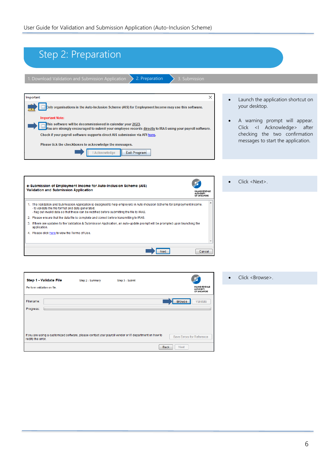If you are using a customized software, please contact your payroll vendor or IT department on how to rectify the error.

<span id="page-5-0"></span>

| Step 2: Preparation                                                                                                                                                                                                                                                                                                                                                                                                                                                                                                                                                                                                                                                                                                                                                |                                                                                                                                                                                                     |
|--------------------------------------------------------------------------------------------------------------------------------------------------------------------------------------------------------------------------------------------------------------------------------------------------------------------------------------------------------------------------------------------------------------------------------------------------------------------------------------------------------------------------------------------------------------------------------------------------------------------------------------------------------------------------------------------------------------------------------------------------------------------|-----------------------------------------------------------------------------------------------------------------------------------------------------------------------------------------------------|
|                                                                                                                                                                                                                                                                                                                                                                                                                                                                                                                                                                                                                                                                                                                                                                    |                                                                                                                                                                                                     |
|                                                                                                                                                                                                                                                                                                                                                                                                                                                                                                                                                                                                                                                                                                                                                                    |                                                                                                                                                                                                     |
| 1. Download Validation and Submission Application<br>2. Preparation<br>3. Submission                                                                                                                                                                                                                                                                                                                                                                                                                                                                                                                                                                                                                                                                               |                                                                                                                                                                                                     |
|                                                                                                                                                                                                                                                                                                                                                                                                                                                                                                                                                                                                                                                                                                                                                                    |                                                                                                                                                                                                     |
| ×<br>Important<br>Only organisations in the Auto-Inclusion Scheme (AIS) for Employment Income may use this software.<br><b>Important Note:</b><br>This software will be decommissioned in calendar year 2023.<br>ou are strongly encouraged to submit your employee records directly to IRAS using your payroll software.<br>Check if your payroll software supports direct AIS submission via API here.<br>Please tick the checkboxes to acknowledge the messages.                                                                                                                                                                                                                                                                                                | Launch the application shortcut on<br>your desktop.<br>A warning prompt will appear.<br>Click <i acknowledge=""> after<br/>checking the two confirmation<br/>messages to start the application.</i> |
| I Acknowledge<br><b>Exit Program</b>                                                                                                                                                                                                                                                                                                                                                                                                                                                                                                                                                                                                                                                                                                                               |                                                                                                                                                                                                     |
| e-Submission of Employment Income for Auto-Inclusion Scheme (AIS)<br>Validation and Submission Application<br><b>INLAND REVENUE</b><br>AUTHORITY<br>OF SINGAPORE<br>1. The Validation and Submission Application is designed to help employers in Auto-Inclusion Scheme for Employment Income.<br>- to validate the file format and data generated;<br>- flag out invalid data so that these can be rectified before submitting the file to IRAS.<br>2. Please ensure that the data file is complete and correct before transmitting to IRAS.<br>3. If there are updates to the Validation & Submission Application, an auto-update prompt will be prompted upon launching the<br>application.<br>4. Please click here to view the Terms of Use.<br>Next<br>Cancel | Click <next>.</next>                                                                                                                                                                                |
| Step 1 - Validate File<br>Step 3 - Submit<br>Step 2 - Summary                                                                                                                                                                                                                                                                                                                                                                                                                                                                                                                                                                                                                                                                                                      | Click <browse>.</browse>                                                                                                                                                                            |
| <b>INLAND REVENUE</b><br>Perform validation on file.<br><b>AUTHORITY</b><br>OF SINGAPORE                                                                                                                                                                                                                                                                                                                                                                                                                                                                                                                                                                                                                                                                           |                                                                                                                                                                                                     |
| Filename:<br><b>Browse</b><br>Validate                                                                                                                                                                                                                                                                                                                                                                                                                                                                                                                                                                                                                                                                                                                             |                                                                                                                                                                                                     |
| Progress:                                                                                                                                                                                                                                                                                                                                                                                                                                                                                                                                                                                                                                                                                                                                                          |                                                                                                                                                                                                     |
|                                                                                                                                                                                                                                                                                                                                                                                                                                                                                                                                                                                                                                                                                                                                                                    |                                                                                                                                                                                                     |

Save Errors for Reference

Back Next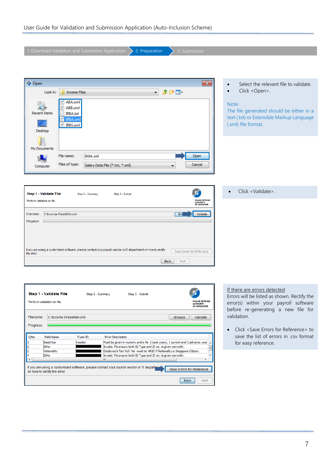| 1. Download Validation and Submission Application<br>2. Preparation<br>3. Submission                                                                                      |                                                                               |
|---------------------------------------------------------------------------------------------------------------------------------------------------------------------------|-------------------------------------------------------------------------------|
|                                                                                                                                                                           |                                                                               |
|                                                                                                                                                                           |                                                                               |
|                                                                                                                                                                           |                                                                               |
| <b>O</b> Open<br>$\mathbf{x}$                                                                                                                                             | Select the relevant file to validate.                                         |
| ♪ 2● ⊞ -<br>Look in:<br><b>Income Files</b><br>$\blacktriangledown$                                                                                                       | Click <open>.</open>                                                          |
| A8A.xml                                                                                                                                                                   | Note:                                                                         |
| cQ5<br>A8B.xml                                                                                                                                                            | The file generated should be either in a                                      |
| <b>Recent Items</b><br>IR8A.txt<br>IR8A.xml                                                                                                                               | text (.txt) or Extensible Markup Language                                     |
| IR8S.xml                                                                                                                                                                  | (.xml) file format.                                                           |
| Desktop                                                                                                                                                                   |                                                                               |
|                                                                                                                                                                           |                                                                               |
| My Documents                                                                                                                                                              |                                                                               |
| File name:<br>Open<br>IR8A.xml                                                                                                                                            |                                                                               |
| Files of type:<br>Cancel<br>Salary Data File (*.txt, *.xml)<br>Computer                                                                                                   |                                                                               |
|                                                                                                                                                                           |                                                                               |
|                                                                                                                                                                           |                                                                               |
|                                                                                                                                                                           |                                                                               |
| Step 1 - Validate File<br>Step 2 - Summary<br>Step 3 - Submit                                                                                                             | Click <validate>.<br/><math>\bullet</math></validate>                         |
| NLAND REVENUE<br>Perform validation on file.<br>AUTHORITY<br>OF SINGAPORE                                                                                                 |                                                                               |
| Filename:<br>C:\Income Files\IR8A.xml<br><b>Bro</b><br>Validate                                                                                                           |                                                                               |
| Progress:                                                                                                                                                                 |                                                                               |
|                                                                                                                                                                           |                                                                               |
|                                                                                                                                                                           |                                                                               |
|                                                                                                                                                                           |                                                                               |
| If you are using a customized software, please contact your payroll vendor or IT department on how to rectify<br>Save Errors for Reference<br>the error.                  |                                                                               |
| Next                                                                                                                                                                      |                                                                               |
| <b>Back</b>                                                                                                                                                               |                                                                               |
|                                                                                                                                                                           |                                                                               |
|                                                                                                                                                                           |                                                                               |
|                                                                                                                                                                           | If there are errors detected                                                  |
| Step 1 - Validate File<br>Step 2 - Summary<br>Step 3 - Submit                                                                                                             | Errors will be listed as shown. Rectify the                                   |
| <b>INLAND REVENUE</b><br>Perform validation on file.<br>AUTHORITY<br>OF SINGAPORE                                                                                         | error(s) within your payroll software                                         |
|                                                                                                                                                                           | before re-generating a new file for                                           |
| Filename:<br>C:\Income Files\IR8A.xml<br><b>Browse</b><br>Validate                                                                                                        | validation.                                                                   |
| Progress:                                                                                                                                                                 | Click <save errors="" for="" reference=""> to<br/><math>\bullet</math></save> |
| S/No.<br><b>Field Name</b><br>E'yee ID<br><b>Error Description</b>                                                                                                        | save the list of errors in .csy format                                        |
| Header<br>Must be given in numeric and is for 2 back years, 1 current and 1 advance year.<br>BasisYear<br>Invalid. Pls ensure both ID Type and ID no. is given correctly. | for easy reference.                                                           |
| IDNo<br>Ε<br>Employee's Tax Ref. No. must be NRIC if Nationality is Singapore Citizen.<br>Nationality                                                                     |                                                                               |
| Invalid. Pls ensure both ID Type and ID no. is given correctly.<br>IDNo<br>Ш                                                                                              |                                                                               |
| If you are using a customized software, please contact your payroll vendor or IT department<br>Save Errors for Reference                                                  |                                                                               |
| on how to rectify the error.                                                                                                                                              |                                                                               |

Back Next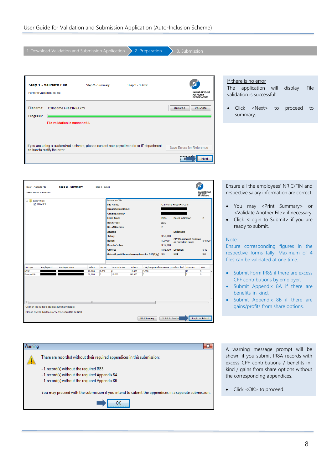| 1. Download Validation and Submission Application<br>2. Preparation<br>3. Submission                                                                                                              |                                                                                                          |
|---------------------------------------------------------------------------------------------------------------------------------------------------------------------------------------------------|----------------------------------------------------------------------------------------------------------|
|                                                                                                                                                                                                   |                                                                                                          |
| Step 1 - Validate File<br>Step 2 - Summary<br>Step 3 - Submit<br><b>INLAND REVENUE</b><br>Perform validation on file.<br><b>AUTHORITY</b><br>OF SINGAPORE                                         | If there is no error<br>'File<br>application will<br><b>The</b><br>display<br>validation is successful'. |
| Filename:<br>C: Vncome Files VR8A.xml<br>Validate<br><b>Browse</b><br>Progress:                                                                                                                   | Click <next><br/>to<br/>proceed<br/>to<br/><math display="inline">\bullet</math><br/>summary.</next>     |
| <b>File validation is successful.</b><br>If you are using a customized software, please contact your payroll vendor or IT department<br>Save Errors for Reference<br>on how to rectify the error. |                                                                                                          |
| B<br>Next                                                                                                                                                                                         |                                                                                                          |

| Step 1 - Validate File     | Select file for Submission. | Step 2 - Summary                                                                                         |                  | Step 3 - Submit |                                                                                                                                                                                                                                                                                                      |                  |                                          |                                                                               |                                                                                                                           |                               | NLAND REVENUE<br>AUTHORITY<br>OF SINGAPORE |
|----------------------------|-----------------------------|----------------------------------------------------------------------------------------------------------|------------------|-----------------|------------------------------------------------------------------------------------------------------------------------------------------------------------------------------------------------------------------------------------------------------------------------------------------------------|------------------|------------------------------------------|-------------------------------------------------------------------------------|---------------------------------------------------------------------------------------------------------------------------|-------------------------------|--------------------------------------------|
| <b>E-B</b> [Salary Files]  | I TR8A.XML                  |                                                                                                          |                  |                 | Summary of File<br><b>File Name:</b><br><b>Organisation Name:</b><br><b>Organisation ID:</b><br>Form Type:<br><b>Basis Year:</b><br><b>No. of Records:</b><br><b>Income</b><br>Salary:<br><b>Bonus:</b><br><b>Director's Fee:</b><br>Others:<br>Gains & profit from share options for S10(1)(q): \$0 |                  |                                          | IR8A<br>2021<br>$\overline{2}$<br>\$50,000<br>\$2,000<br>\$12,000<br>\$96,430 | C:\Income Files\IR8A.xml<br><b>Batch Indicator:</b><br><b>Deduction</b><br>or Provident Fund:<br><b>Donation:</b><br>MBF: | <b>CPF/Designated Pension</b> | $\circ$<br>\$4,800<br>\$10<br>\$0          |
| ID Type                    | Employee ID                 | <b>Employee Name</b>                                                                                     | Salary           | <b>Bonus</b>    | Director's Fee                                                                                                                                                                                                                                                                                       | Others           | CPF/Designated Pension or provident fund |                                                                               |                                                                                                                           | Donation                      | <b>MBF</b>                                 |
| <b>NRIC</b><br>Passport No |                             |                                                                                                          | 20,000<br>30,000 | 2,000<br>o      | lo<br>12,000                                                                                                                                                                                                                                                                                         | 15,800<br>80,630 | 4,800<br>lo.                             |                                                                               |                                                                                                                           | 10<br>o                       | o<br>١o                                    |
| $\blacktriangleleft$       |                             | Click on file name to display summary details.<br>Please click Submit to proceed to submit file to IRAS. | m.               |                 |                                                                                                                                                                                                                                                                                                      |                  |                                          |                                                                               |                                                                                                                           |                               | ٠                                          |
|                            |                             |                                                                                                          |                  |                 |                                                                                                                                                                                                                                                                                                      |                  | <b>Print Summary</b>                     | Validate Anothe                                                               |                                                                                                                           |                               | Login to Submit                            |



Ensure all the employees' NRIC/FIN and respective salary information are correct.

- You may <Print Summary> or <Validate Another File> if necessary.
- Click <Login to Submit> if you are ready to submit.

#### Note:

Ensure corresponding figures in the respective forms tally. Maximum of 4 files can be validated at one time.

- Submit Form IR8S if there are excess CPF contributions by employer.
- Submit Appendix 8A if there are benefits-in-kind.
- Submit Appendix 8B if there are gains/profits from share options.

A warning message prompt will be shown if you submit IR8A records with excess CPF contributions / benefits-inkind / gains from share options without the corresponding appendices.

• Click <OK> to proceed.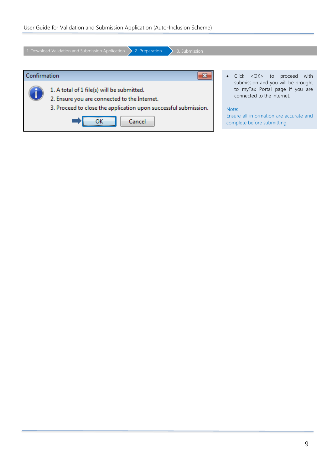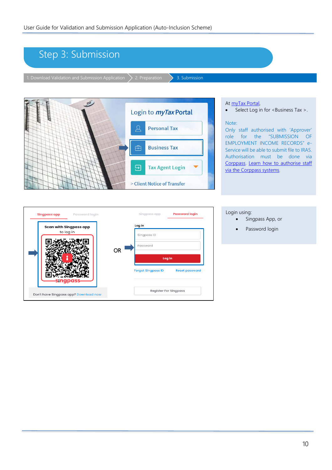### <span id="page-9-0"></span>Step 3: Submission 1. Download Validation and Submission Application  $\sum$  2. Preparation  $\sum$  3. Submission Þ At [myTax Portal,](https://mytax.iras.gov.sg/ESVWeb/default.aspx) • Select Log in for <Business Tax >. Login to *myTax* Portal Note: **Personal Tax** Only staff authorised with 'Approver' role for the "SUBMISSION OF EMPLOYMENT INCOME RECORDS" e-**Business Tax** Service will be able to submit file to IRAS. Authorisation must be done via [Corppass.](https://www.corppass.gov.sg/) [Learn how to authorise staff](https://www.iras.gov.sg/irashome/uploadedFiles/IRASHome/Businesses/Authorisation%20Guide.pdf)  **Tax Agent Login** ⊟ [via the Corppass systems](https://www.iras.gov.sg/irashome/uploadedFiles/IRASHome/Businesses/Authorisation%20Guide.pdf)*.* > Client Notice of Transfer Login using: Singpass app **Password loain Singpass app** Password login Singpass App, or

• Password login

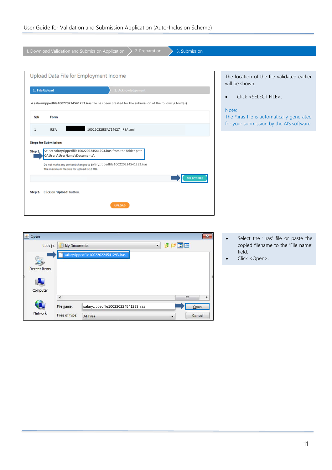| 2. Preparation<br>1. Download Validation and Submission Application<br>3. Submission                                   |                                                                                        |
|------------------------------------------------------------------------------------------------------------------------|----------------------------------------------------------------------------------------|
|                                                                                                                        |                                                                                        |
| Upload Data File for Employment Income                                                                                 | The location of the file validated earlier<br>will be shown.                           |
| 1. File Upload<br>2. Acknowledgement                                                                                   |                                                                                        |
| A salaryzippedfile100220224541293.iras file has been created for the submission of the following form(s):              | Click <select file="">.<br/><math display="inline">\bullet</math></select>             |
|                                                                                                                        | Note:                                                                                  |
| S/N<br>Form                                                                                                            | The *.iras file is automatically generated<br>for your submission by the AIS software. |
| 10022022IR8A714627 IR8A.xml<br>IR8A<br>$\mathbf{1}$                                                                    |                                                                                        |
| <b>Steps for Submission:</b>                                                                                           |                                                                                        |
| Select salaryzippedfile100220224541293.iras from the folder path:<br>Step 1.<br>C:\Users\UserName\Documents\           |                                                                                        |
| Do not make any content changes to salaryzippedfile 100220224541293.iras<br>The maximum file size for upload is 10 MB. |                                                                                        |
| <b>SELECT FIL</b>                                                                                                      |                                                                                        |
| Click on 'Upload' button.<br>Step 2.                                                                                   |                                                                                        |
| <b>UPLOAD</b>                                                                                                          |                                                                                        |

| <b>4</b> Open       |                     |                                      |                          |     |        | $\mathbf{z}$ |  |
|---------------------|---------------------|--------------------------------------|--------------------------|-----|--------|--------------|--|
| Look in:            | <b>My Documents</b> |                                      | $\overline{\phantom{a}}$ | HIE |        |              |  |
| <b>Recent Items</b> |                     | salaryzippedfile100220224541293.iras |                          |     |        |              |  |
|                     |                     |                                      |                          |     |        |              |  |
| Computer            |                     |                                      |                          | Ш   |        |              |  |
|                     | ∢                   |                                      |                          |     |        | r            |  |
|                     | File name:          | salaryzippedfile100220224541293.iras |                          |     | Open   |              |  |
| <b>Network</b>      | Files of type:      | <b>All Files</b>                     |                          |     | Cancel |              |  |

- Select the '.iras' file or paste the copied filename to the 'File name' field.
- Click <Open>.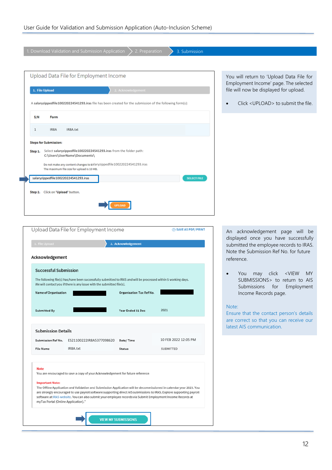| 1. Download Validation and Submission Application<br>2. Preparation<br>3. Submission                                   |                                                                                      |
|------------------------------------------------------------------------------------------------------------------------|--------------------------------------------------------------------------------------|
|                                                                                                                        |                                                                                      |
|                                                                                                                        |                                                                                      |
|                                                                                                                        |                                                                                      |
| Upload Data File for Employment Income                                                                                 | You will return to 'Upload Data File for                                             |
|                                                                                                                        | Employment Income' page. The selected                                                |
| 1. File Upload<br>2. Acknowledgement                                                                                   | file will now be displayed for upload.                                               |
|                                                                                                                        |                                                                                      |
| A salaryzippedfile100220224541293.iras file has been created for the submission of the following form(s):              | Click <upload> to submit the file.<br/><math display="block">\bullet</math></upload> |
|                                                                                                                        |                                                                                      |
| S/N<br>Form                                                                                                            |                                                                                      |
|                                                                                                                        |                                                                                      |
| IR8A<br>IR8A.txt<br>$\mathbf{1}$                                                                                       |                                                                                      |
| <b>Steps for Submission:</b>                                                                                           |                                                                                      |
|                                                                                                                        |                                                                                      |
| Select salaryzippedfile100220224541293.iras from the folder path:<br>Step 1.<br>C:\Users\UserName\Documents\           |                                                                                      |
|                                                                                                                        |                                                                                      |
| Do not make any content changes to salaryzippedfile 100220224541293.iras<br>The maximum file size for upload is 10 MB. |                                                                                      |
|                                                                                                                        |                                                                                      |
| <b>SELECT FILE</b><br>salaryzippedfile100220224541293.iras                                                             |                                                                                      |
|                                                                                                                        |                                                                                      |
| Click on 'Upload' button.<br>Step 2.                                                                                   |                                                                                      |
|                                                                                                                        |                                                                                      |
|                                                                                                                        |                                                                                      |
|                                                                                                                        |                                                                                      |

| Upload Data File for Employment Income | <b>● SAVE AS PDF/ PRINT</b>                                                                                                                                                                                                                                                                                                                                 |                                 |                      |
|----------------------------------------|-------------------------------------------------------------------------------------------------------------------------------------------------------------------------------------------------------------------------------------------------------------------------------------------------------------------------------------------------------------|---------------------------------|----------------------|
| 1. File Upload                         |                                                                                                                                                                                                                                                                                                                                                             | 2. Acknowledgement              |                      |
| Acknowledgement                        |                                                                                                                                                                                                                                                                                                                                                             |                                 |                      |
| <b>Successful Submission</b>           |                                                                                                                                                                                                                                                                                                                                                             |                                 |                      |
|                                        | The following file(s) has/have been successfully submitted to IRAS and will be processed within 5 working days.<br>We will contact you if there is any issue with the submitted file(s).                                                                                                                                                                    |                                 |                      |
| <b>Name of Organisation</b>            |                                                                                                                                                                                                                                                                                                                                                             | <b>Organisation Tax Ref No.</b> |                      |
| <b>Submitted By</b>                    |                                                                                                                                                                                                                                                                                                                                                             | Year Ended 31 Dec               | 2021                 |
|                                        |                                                                                                                                                                                                                                                                                                                                                             |                                 |                      |
| <b>Submission Details</b>              |                                                                                                                                                                                                                                                                                                                                                             |                                 |                      |
| Submission Ref No.                     | ES21100222IR8A5377098620                                                                                                                                                                                                                                                                                                                                    | Date/Time                       | 10 FEB 2022 12:05 PM |
| <b>File Name</b>                       | IR8A.txt                                                                                                                                                                                                                                                                                                                                                    | <b>Status</b>                   | <b>SUBMITTED</b>     |
| <b>Note</b>                            |                                                                                                                                                                                                                                                                                                                                                             |                                 |                      |
|                                        | You are encouraged to save a copy of your Acknowledgement for future reference.                                                                                                                                                                                                                                                                             |                                 |                      |
| <b>Important Note:</b>                 |                                                                                                                                                                                                                                                                                                                                                             |                                 |                      |
| myTax Portal (Online Application)."    | The Offline Application and Validation and Submission Application will be decommissioned in calendar year 2023. You<br>are strongly encouraged to use payroll software supporting direct AIS submissions to IRAS. Explore supporting payroll<br>software at IRAS website. You can also submit your employee records via Submit Employment Income Records at |                                 |                      |
|                                        |                                                                                                                                                                                                                                                                                                                                                             |                                 |                      |
|                                        |                                                                                                                                                                                                                                                                                                                                                             | <b>VIEW MY SUBMISSIONS</b>      |                      |

An acknowledgement page will be displayed once you have successfully submitted the employee records to IRAS. Note the Submission Ref No. for future reference.

• You may click <VIEW MY SUBMISSIONS> to return to AIS Submissions for Employment Income Records page.

#### Note:

Ensure that the contact person's details are correct so that you can receive our latest AIS communication.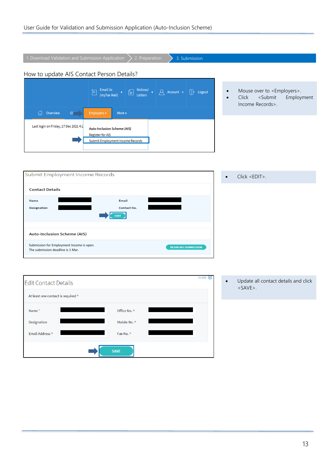| 1. Download Validation and Submission Application<br>2. Preparation<br>3. Submission                                                                                                                                                                                                   |                        |                                                                                                                |
|----------------------------------------------------------------------------------------------------------------------------------------------------------------------------------------------------------------------------------------------------------------------------------------|------------------------|----------------------------------------------------------------------------------------------------------------|
| How to update AIS Contact Person Details?                                                                                                                                                                                                                                              |                        |                                                                                                                |
| Email Us<br>(myTax Mail) $\begin{bmatrix} 4 \\ 2 \end{bmatrix}$<br>Notices/ $\bullet$ $\begin{array}{ c c c }\n\hline\n\text{Letters} & \bullet & \text{Account} & \bullet & \text{Logout}\n\hline\n\end{array}$<br>$\sum_{i=1}^{n}$<br>Overview<br>Employers v<br>More v<br>(U)<br>GS | $\bullet$<br>$\bullet$ | Mouse over to <employers>.<br/><submit<br>Click<br/>Employment<br/>Income Records&gt;.</submit<br></employers> |
| Last login on Friday, 17 Dec 2021 4:1<br>Auto-Inclusion Scheme (AIS)<br>Register for AIS<br>Submit Employment Income Records                                                                                                                                                           |                        |                                                                                                                |
| Submit Employment Income Records                                                                                                                                                                                                                                                       |                        | Click <edit>.</edit>                                                                                           |
| <b>Contact Details</b>                                                                                                                                                                                                                                                                 |                        |                                                                                                                |
| Email<br>Name<br><b>Designation</b><br>Contact No.<br><b>EDIT</b>                                                                                                                                                                                                                      |                        |                                                                                                                |
| <b>Auto-Inclusion Scheme (AIS)</b>                                                                                                                                                                                                                                                     |                        |                                                                                                                |
| Submission for Employment Income is open.<br><b>BEGIN AIS SUBMISSION</b><br>The submission deadline is 1 Mar.                                                                                                                                                                          |                        |                                                                                                                |
|                                                                                                                                                                                                                                                                                        |                        |                                                                                                                |
| CLOSE $(x)$<br><b>Edit Contact Details</b>                                                                                                                                                                                                                                             | $\bullet$              | Update all contact details and click<br>$.$                                                                    |
| At least one contact is required ^                                                                                                                                                                                                                                                     |                        |                                                                                                                |
| Office No. ^<br>Name*                                                                                                                                                                                                                                                                  |                        |                                                                                                                |
| Designation<br>Mobile No. ^                                                                                                                                                                                                                                                            |                        |                                                                                                                |
| Email Address ^<br>Fax No. ^                                                                                                                                                                                                                                                           |                        |                                                                                                                |
| <b>SAVE</b>                                                                                                                                                                                                                                                                            |                        |                                                                                                                |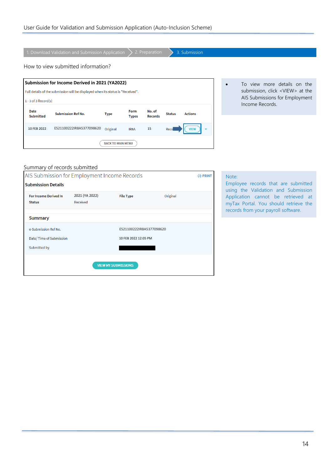|                                                                                                                                                             | 1. Download Validation and Submission Application |                          |                      | 2. Preparation           |               | 3. Submission  |  |                                                                                                                              |  |
|-------------------------------------------------------------------------------------------------------------------------------------------------------------|---------------------------------------------------|--------------------------|----------------------|--------------------------|---------------|----------------|--|------------------------------------------------------------------------------------------------------------------------------|--|
|                                                                                                                                                             | How to view submitted information?                |                          |                      |                          |               |                |  |                                                                                                                              |  |
| Submission for Income Derived in 2021 (YA2022)<br>Full details of the submission will be displayed when its status is "Received".<br>$1 - 3$ of 3 Record(s) |                                                   |                          |                      |                          |               |                |  | To view more details on the<br>submission, click <view> at the<br/>AIS Submissions for Employment<br/>Income Records.</view> |  |
| <b>Date</b><br><b>Submitted</b>                                                                                                                             | <b>Submission Ref No.</b>                         | <b>Type</b>              | Form<br><b>Types</b> | No. of<br><b>Records</b> | <b>Status</b> | <b>Actions</b> |  |                                                                                                                              |  |
| 10 FEB 2022                                                                                                                                                 | ES21100222IR8A5377098620                          | Original                 | IR <sub>8</sub> A    | 15                       | Rece          | <b>VIEW</b>    |  |                                                                                                                              |  |
|                                                                                                                                                             |                                                   | <b>BACK TO MAIN MENU</b> |                      |                          |               |                |  |                                                                                                                              |  |

### Summary of records submitted

| <b>← PRINT</b> |
|----------------|
|                |
|                |
|                |
|                |
|                |
|                |
|                |
|                |
|                |

### Note:

Employee records that are submitted using the Validation and Submission Application cannot be retrieved at myTax Portal. You should retrieve the records from your payroll software.